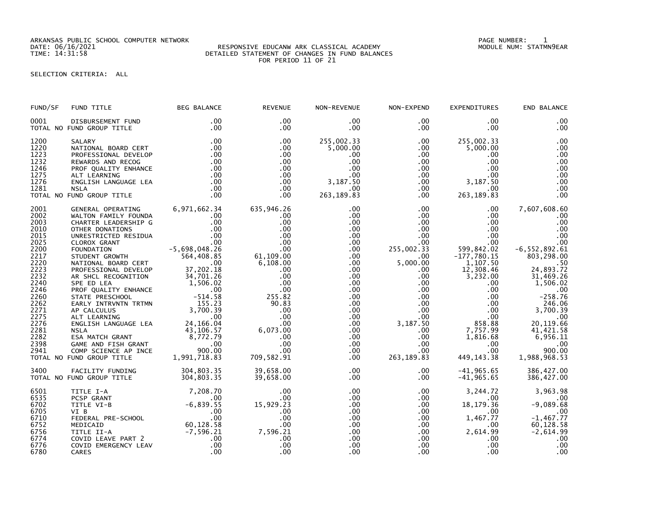ARKANSAS PUBLIC SCHOOL COMPUTER NETWORK PAGE NUMBER: 1

## DATE: 06/16/2021 RESPONSIVE EDUCANW ARK CLASSICAL ACADEMY MODULE NUM: STATMN9EAR TIME: 14:31:58 DETAILED STATEMENT OF CHANGES IN FUND BALANCES FOR PERIOD 11 OF 21

SELECTION CRITERIA: ALL

| FUND/SF      | FUND TITLE                                                                                                                                                                                        | <b>BEG BALANCE</b>                                      | <b>REVENUE</b>        | NON-REVENUE            | NON-EXPEND                   | <b>EXPENDITURES</b>    | END BALANCE               |
|--------------|---------------------------------------------------------------------------------------------------------------------------------------------------------------------------------------------------|---------------------------------------------------------|-----------------------|------------------------|------------------------------|------------------------|---------------------------|
| 0001         | DISBURSEMENT FUND<br>TOTAL NO FUND GROUP TITLE                                                                                                                                                    | .00<br>.00                                              | .00<br>$.00 \,$       | $.00 \,$<br>.00        | $.00 \,$<br>.00              | $.00 \,$<br>$.00 \,$   | .00<br>.00                |
| 1200<br>1220 | SALARY<br>NATIONAL BOARD CERT                                                                                                                                                                     | .00<br>.00                                              | .00<br>.00            | 255,002.33<br>5,000.00 | $.00 \,$<br>$.00 \,$         | 255,002.33<br>5,000.00 | .00<br>.00                |
| 1223         | PROFESSIONAL DEVELOP                                                                                                                                                                              | .00                                                     | .00                   | .00                    | $.00 \,$                     | $.00 \,$               | .00                       |
| 1232         | REWARDS AND RECOG                                                                                                                                                                                 | .00                                                     | .00                   | .00                    | .00                          | $.00 \,$               | .00                       |
| 1246         | PROF QUALITY ENHANCE                                                                                                                                                                              | $\begin{array}{c} .00 \\ .00 \end{array}$               | $.00 \,$              | $.00 \cdot$            | $.00\,$                      | $.00 \cdot$            | .00                       |
| 1275         | ALT LEARNING                                                                                                                                                                                      | .00                                                     | $.00 \,$              | .00                    | $.00\,$                      | $.00 \,$               | .00                       |
| 1276         | ENGLISH LANGUAGE LEA                                                                                                                                                                              | .00                                                     | $.00 \,$              | 3,187.50               | $.00 \,$                     | 3,187.50               | .00                       |
| 1281         | <b>NSLA</b>                                                                                                                                                                                       | .00                                                     | $.00 \,$              | $.00 \,$               | $.00 \,$                     | $.00 \,$               | .00                       |
|              | TOTAL NO FUND GROUP TITLE                                                                                                                                                                         | .00                                                     | .00                   | 263, 189.83            | .00                          | 263, 189.83            | .00                       |
| 2001         | GENERAL OPERATING                                                                                                                                                                                 | 6,971,662.34                                            | 635,946.26            | .00                    | .00 <sub>1</sub>             | $.00 \,$               | 7,607,608.60              |
| 2002         | WALTON FAMILY FOUNDA                                                                                                                                                                              | .00                                                     | .00                   | $.00 \,$               | .00 <sub>1</sub>             | $.00 \,$               | .00                       |
| 2003         | CHARTER LEADERSHIP G                                                                                                                                                                              |                                                         | .00                   | $.00 \,$               | $.00\,$                      | $.00 \,$               | .00                       |
| 2010         | OTHER DONATIONS                                                                                                                                                                                   | $0.00$<br>$0.00$<br>$0.00$<br>$0.00$<br>$-5,698,048.26$ | .00                   | .00.                   | $.00\,$                      | $.00 \,$               | .00                       |
| 2015         | UNRESTRICTED RESIDUA                                                                                                                                                                              |                                                         | .00                   | .00                    | .00                          | $.00 \,$               | .00                       |
| 2025         | CLOROX GRANT                                                                                                                                                                                      |                                                         | .00                   | $.00 \,$               | $.00 \cdot$                  | $.00 \,$               | .00                       |
| 2200         | FOUNDATION                                                                                                                                                                                        |                                                         | .00                   | .00                    | 255,002.33                   | 599,842.02             | $-6, 552, 892.61$         |
| 2217         | STUDENT GROWTH<br>NATIONAL BOARD CERT .00                                                                                                                                                         |                                                         | 61,109.00<br>6,108.00 | $.00 \,$               | $.00 \,$                     | $-177,780.15$          | 803,298.00                |
| 2220<br>2223 |                                                                                                                                                                                                   |                                                         |                       | .00                    | 5,000.00                     | 1,107.50               | 24,893.72                 |
|              | PROFESSIONAL DEVELOP                                                                                                                                                                              | 00 .<br>37 , 202 . 18<br>34 , 701 . 26                  | .00                   | $.00 \,$               | $.00 \,$                     | 12,308.46              |                           |
| 2232         | AR SHCL RECOGNITION                                                                                                                                                                               | 34,701.26                                               | .00                   | $.00 \,$               | $.00\,$                      | 3,232.00               | 31,469.26                 |
| 2240         | SPE ED LEA                                                                                                                                                                                        | $1,506.02$<br>00.00<br>-514.58                          | .00                   | $.00 \,$               | $.00\,$                      | $.00\,$                | 1,506.02                  |
| 2246         | PROF QUALITY ENHANCE                                                                                                                                                                              |                                                         | .00.                  | .00                    | $.00\,$                      | $.00 \,$               | .00                       |
| 2260         | STATE PRESCHOOL                                                                                                                                                                                   |                                                         | 255.82                | $.00 \,$               | $.00\,$                      | $.00 \,$               | $-258.76$                 |
| 2262         |                                                                                                                                                                                                   |                                                         | 90.83                 | $.00 \,$               | $.00\,$                      | $.00\,$                | 246.06                    |
| 2271         | FARLY INTRVNTN TRTMN<br>AP CALCULUS 3,700.39<br>ALT LEARNING 00<br>ALT LEARNING 00<br>ENGLISH LANGUAGE LEA 24,166.04<br>NSLA 43,106.57<br>ESA MATCH GRANT 8,772.79                                |                                                         | .00                   | $.00 \,$               | $.00\,$                      | $.00 \,$               | 3,700.39                  |
| 2275         |                                                                                                                                                                                                   |                                                         | .00                   | $.00 \,$               | .00                          | $.00 \,$               | .00                       |
| 2276<br>2281 |                                                                                                                                                                                                   |                                                         | .00                   | $.00 \,$               | 3,187.50                     | 858.88                 | 20,119.66                 |
|              |                                                                                                                                                                                                   |                                                         | 6,073.00              | $.00 \,$               | $.00 \,$                     | 7,757.99               | 41,421.58                 |
| 2282<br>2398 |                                                                                                                                                                                                   | .00                                                     | .00<br>.00            | $.00 \,$<br>$.00 \,$   | $.00\,$<br>$.00\,$           | 1,816.68               | 6,956.11<br>.00           |
| 2941         |                                                                                                                                                                                                   | 900.00                                                  | .00                   | $.00 \,$               | $.00\,$                      | $.00\,$<br>$.00 \,$    | 900.00                    |
|              | <b>ALT LEARNER</b><br>ENGLISH LANGUAGE LEA<br>NSLA<br>ESA MATCH GRANT<br>GAME AND FISH GRANT<br>CAME AND FISH GRANT<br>CAMP SCIENCE AP INCE<br>TOTAL NO FUND GROUP TITLE                          | 1,991,718.83                                            | 709,582.91            | $.00 \,$               | 263, 189.83                  | 449, 143. 38           | 1,988,968.53              |
|              |                                                                                                                                                                                                   |                                                         |                       |                        |                              |                        |                           |
| 3400         | FACILITY FUNDING                                                                                                                                                                                  | 304,803.35                                              | 39,658.00             | .00                    | $.00 \,$                     | $-41,965.65$           | 386,427.00                |
|              | TOTAL NO FUND GROUP TITLE                                                                                                                                                                         | 304,803.35                                              | 39,658.00             | $.00 \,$               | $.00 \,$                     | $-41,965.65$           | 386,427.00                |
| 6501         | TITLE I-A                                                                                                                                                                                         | 7,208.70                                                | .00                   | .00                    | $.00 \,$                     | 3,244.72               | 3,963.98                  |
| 6535         | PCSP GRANT                                                                                                                                                                                        | .00                                                     | .00                   | $.00 \,$               | $.00 \,$                     | $.00\,$                | $-9,089.68$               |
| 6702         |                                                                                                                                                                                                   |                                                         | 15,929.23             | $.00 \,$               | $.00 \,$                     | 18,179.36              |                           |
| 6705         |                                                                                                                                                                                                   |                                                         | .00                   | $.00 \,$               | $.00 \cdot$                  | $.00\,$                | .00                       |
| 6710         |                                                                                                                                                                                                   |                                                         | .00                   | .00                    | $.00 \,$                     | 1,467.77               | $-1,467.77$               |
| 6752         |                                                                                                                                                                                                   |                                                         | .00                   | $.00 \,$               | $.00 \,$                     | $.00 \,$               | $60, 128.58$<br>-2,614.99 |
| 6756         |                                                                                                                                                                                                   |                                                         | 7,596.21              | .00                    | $.00\,$                      | 2,614.99               |                           |
| 6774         | 00<br>TITLE VI-B<br>VI B<br>CON CORAL PRE-SCHOOL<br>CONFIDED CALL PRE-SCHOOL<br>MEDICAID<br>TITLE II-A<br>COVID LEAVE PART 2<br>COVID EMERGENCY LEAV<br>CARES<br>CARES<br>COND COND COND<br>CARES |                                                         | .00                   | .00 <sub>1</sub>       | $.00 \,$                     | $.00 \cdot$            | .00                       |
| 6776         |                                                                                                                                                                                                   | .00                                                     | .00<br>.00            | .00<br>.00             | $.00 \,$<br>.00 <sub>1</sub> | $.00 \,$<br>.00.       | .00<br>.00                |
| 6780         | CARES                                                                                                                                                                                             |                                                         |                       |                        |                              |                        |                           |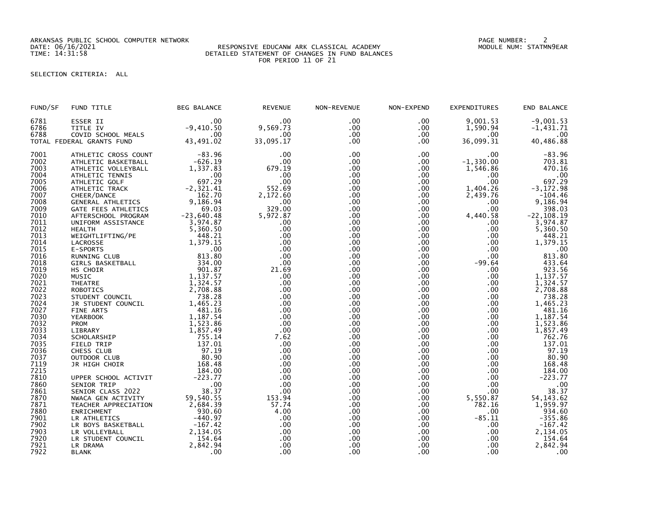ARKANSAS PUBLIC SCHOOL COMPUTER NETWORK PAGE NUMBER: 2

## DATE: 06/16/2021 RESPONSIVE EDUCANW ARK CLASSICAL ACADEMY MODULE NUM: STATMN9EAR TIME: 14:31:58 DETAILED STATEMENT OF CHANGES IN FUND BALANCES FOR PERIOD 11 OF 21

SELECTION CRITERIA: ALL

| 6781<br>9,001.53<br>$-9,001.53$<br>ESSER II<br>.00<br>.00<br>.00<br>$.00 \,$<br>9,569.73<br>TITLE IV<br>$-9,410.50$<br>$.00 \,$<br>$.00 \,$<br>1,590.94<br>6786<br>$-1,431.71$<br>6788<br>COVID SCHOOL MEALS<br>.00<br>.00<br>.00<br>$.00 \cdot$<br>$.00 \cdot$<br>43,491.02<br>33,095.17<br>36,099.31<br>.00<br>.00<br>40,486.88<br>TOTAL FEDERAL GRANTS FUND<br>$-83.96$<br>7001<br>ATHLETIC CROSS COUNT<br>$.00 \times$<br>.00<br>.00<br>.00<br>$-626.19$<br>$-1,330.00$<br>7002<br>.00<br>ATHLETIC BASKETBALL<br>.00<br>$.00 \,$<br>1,337.83<br>1,546.86<br>7003<br>679.19<br>ATHLETIC VOLLEYBALL<br>.00<br>$.00 \,$<br>7004<br>.00<br>.00<br>$.00 \,$<br>$.00 \,$<br>$.00 \,$<br>ATHLETIC TENNIS<br>697.29<br>.00<br>7005<br>ATHLETIC GOLF<br>.00<br>.00<br>.00<br>$-2, 321.41$<br>1,404.26<br>552.69<br>$.00 \,$<br>$.00 \,$<br>$-3, 172.98$<br>7006<br>ATHLETIC TRACK<br>7007<br>162.70<br>2,172.60<br>.00 <sub>1</sub><br>2,439.76<br>$.00 \cdot$<br>CHEER/DANCE<br>GENERAL ATHLETICS<br>9,186.94<br>9,186.94<br>$77.00$<br>329.00<br>.00 <sub>1</sub><br>7008<br>$.00 \,$<br>$.00 \,$<br>69.03<br>.00<br>7009<br>$.00 \,$<br>GATE FEES ATHLETICS<br>.00<br>$-23,640.48$<br>$-22, 108.19$<br>7010<br>5,972.87<br>.00<br>4,440.58<br>AFTERSCHOOL PROGRAM<br>.00<br>3,974.87<br>3,974.87<br>7011<br>$.00 \,$<br>.00<br>$.00 \,$<br>$.00 \,$<br>UNIFORM ASSISTANCE<br>5,360.50<br>7012<br>.00<br>$.00 \,$<br>.00<br>5,360.50<br>$.00 \,$<br><b>HEALTH</b><br>448.21<br>.00<br>7013<br>WEIGHTLIFTING/PE<br>.00<br>$.00 \,$<br>.00<br>1,379.15<br>1,379.15<br>7014<br>.00.<br>.00<br>.00<br>.00.<br>LACROSSE<br>.00<br>7015<br>.00<br>$.00 \,$<br>$.00 \,$<br>$.00 \,$<br>E-SPORTS<br>813.80<br>7016<br>.00<br>.00 <sub>1</sub><br>$.00 \,$<br>$.00 \,$<br>RUNNING CLUB<br>334.00<br>7018<br>.00<br>.00<br>$.00 \,$<br>$-99.64$<br>GIRLS BASKETBALL<br>901.87<br>7019<br>21.69<br>$.00 \,$<br>.00<br>$.00 \,$<br>HS CHOIR<br>1,137.57<br>1,137.57<br>7020<br>.00<br>.00<br>.00<br>MUSIC<br>.00 | END BALANCE     |
|---------------------------------------------------------------------------------------------------------------------------------------------------------------------------------------------------------------------------------------------------------------------------------------------------------------------------------------------------------------------------------------------------------------------------------------------------------------------------------------------------------------------------------------------------------------------------------------------------------------------------------------------------------------------------------------------------------------------------------------------------------------------------------------------------------------------------------------------------------------------------------------------------------------------------------------------------------------------------------------------------------------------------------------------------------------------------------------------------------------------------------------------------------------------------------------------------------------------------------------------------------------------------------------------------------------------------------------------------------------------------------------------------------------------------------------------------------------------------------------------------------------------------------------------------------------------------------------------------------------------------------------------------------------------------------------------------------------------------------------------------------------------------------------------------------------------------------------------------------------------------------------------------------------------------------------------------------------------------------------------------|-----------------|
|                                                                                                                                                                                                                                                                                                                                                                                                                                                                                                                                                                                                                                                                                                                                                                                                                                                                                                                                                                                                                                                                                                                                                                                                                                                                                                                                                                                                                                                                                                                                                                                                                                                                                                                                                                                                                                                                                                                                                                                                   |                 |
|                                                                                                                                                                                                                                                                                                                                                                                                                                                                                                                                                                                                                                                                                                                                                                                                                                                                                                                                                                                                                                                                                                                                                                                                                                                                                                                                                                                                                                                                                                                                                                                                                                                                                                                                                                                                                                                                                                                                                                                                   |                 |
|                                                                                                                                                                                                                                                                                                                                                                                                                                                                                                                                                                                                                                                                                                                                                                                                                                                                                                                                                                                                                                                                                                                                                                                                                                                                                                                                                                                                                                                                                                                                                                                                                                                                                                                                                                                                                                                                                                                                                                                                   | $.00 \cdot$     |
|                                                                                                                                                                                                                                                                                                                                                                                                                                                                                                                                                                                                                                                                                                                                                                                                                                                                                                                                                                                                                                                                                                                                                                                                                                                                                                                                                                                                                                                                                                                                                                                                                                                                                                                                                                                                                                                                                                                                                                                                   |                 |
|                                                                                                                                                                                                                                                                                                                                                                                                                                                                                                                                                                                                                                                                                                                                                                                                                                                                                                                                                                                                                                                                                                                                                                                                                                                                                                                                                                                                                                                                                                                                                                                                                                                                                                                                                                                                                                                                                                                                                                                                   | $-83.96$        |
|                                                                                                                                                                                                                                                                                                                                                                                                                                                                                                                                                                                                                                                                                                                                                                                                                                                                                                                                                                                                                                                                                                                                                                                                                                                                                                                                                                                                                                                                                                                                                                                                                                                                                                                                                                                                                                                                                                                                                                                                   | 703.81          |
|                                                                                                                                                                                                                                                                                                                                                                                                                                                                                                                                                                                                                                                                                                                                                                                                                                                                                                                                                                                                                                                                                                                                                                                                                                                                                                                                                                                                                                                                                                                                                                                                                                                                                                                                                                                                                                                                                                                                                                                                   | 470.16          |
|                                                                                                                                                                                                                                                                                                                                                                                                                                                                                                                                                                                                                                                                                                                                                                                                                                                                                                                                                                                                                                                                                                                                                                                                                                                                                                                                                                                                                                                                                                                                                                                                                                                                                                                                                                                                                                                                                                                                                                                                   | .00             |
|                                                                                                                                                                                                                                                                                                                                                                                                                                                                                                                                                                                                                                                                                                                                                                                                                                                                                                                                                                                                                                                                                                                                                                                                                                                                                                                                                                                                                                                                                                                                                                                                                                                                                                                                                                                                                                                                                                                                                                                                   | 697.29          |
|                                                                                                                                                                                                                                                                                                                                                                                                                                                                                                                                                                                                                                                                                                                                                                                                                                                                                                                                                                                                                                                                                                                                                                                                                                                                                                                                                                                                                                                                                                                                                                                                                                                                                                                                                                                                                                                                                                                                                                                                   |                 |
|                                                                                                                                                                                                                                                                                                                                                                                                                                                                                                                                                                                                                                                                                                                                                                                                                                                                                                                                                                                                                                                                                                                                                                                                                                                                                                                                                                                                                                                                                                                                                                                                                                                                                                                                                                                                                                                                                                                                                                                                   | $-104.46$       |
|                                                                                                                                                                                                                                                                                                                                                                                                                                                                                                                                                                                                                                                                                                                                                                                                                                                                                                                                                                                                                                                                                                                                                                                                                                                                                                                                                                                                                                                                                                                                                                                                                                                                                                                                                                                                                                                                                                                                                                                                   |                 |
|                                                                                                                                                                                                                                                                                                                                                                                                                                                                                                                                                                                                                                                                                                                                                                                                                                                                                                                                                                                                                                                                                                                                                                                                                                                                                                                                                                                                                                                                                                                                                                                                                                                                                                                                                                                                                                                                                                                                                                                                   | 398.03          |
|                                                                                                                                                                                                                                                                                                                                                                                                                                                                                                                                                                                                                                                                                                                                                                                                                                                                                                                                                                                                                                                                                                                                                                                                                                                                                                                                                                                                                                                                                                                                                                                                                                                                                                                                                                                                                                                                                                                                                                                                   |                 |
|                                                                                                                                                                                                                                                                                                                                                                                                                                                                                                                                                                                                                                                                                                                                                                                                                                                                                                                                                                                                                                                                                                                                                                                                                                                                                                                                                                                                                                                                                                                                                                                                                                                                                                                                                                                                                                                                                                                                                                                                   |                 |
|                                                                                                                                                                                                                                                                                                                                                                                                                                                                                                                                                                                                                                                                                                                                                                                                                                                                                                                                                                                                                                                                                                                                                                                                                                                                                                                                                                                                                                                                                                                                                                                                                                                                                                                                                                                                                                                                                                                                                                                                   |                 |
|                                                                                                                                                                                                                                                                                                                                                                                                                                                                                                                                                                                                                                                                                                                                                                                                                                                                                                                                                                                                                                                                                                                                                                                                                                                                                                                                                                                                                                                                                                                                                                                                                                                                                                                                                                                                                                                                                                                                                                                                   | 448.21          |
|                                                                                                                                                                                                                                                                                                                                                                                                                                                                                                                                                                                                                                                                                                                                                                                                                                                                                                                                                                                                                                                                                                                                                                                                                                                                                                                                                                                                                                                                                                                                                                                                                                                                                                                                                                                                                                                                                                                                                                                                   |                 |
|                                                                                                                                                                                                                                                                                                                                                                                                                                                                                                                                                                                                                                                                                                                                                                                                                                                                                                                                                                                                                                                                                                                                                                                                                                                                                                                                                                                                                                                                                                                                                                                                                                                                                                                                                                                                                                                                                                                                                                                                   | .00             |
|                                                                                                                                                                                                                                                                                                                                                                                                                                                                                                                                                                                                                                                                                                                                                                                                                                                                                                                                                                                                                                                                                                                                                                                                                                                                                                                                                                                                                                                                                                                                                                                                                                                                                                                                                                                                                                                                                                                                                                                                   | 813.80          |
|                                                                                                                                                                                                                                                                                                                                                                                                                                                                                                                                                                                                                                                                                                                                                                                                                                                                                                                                                                                                                                                                                                                                                                                                                                                                                                                                                                                                                                                                                                                                                                                                                                                                                                                                                                                                                                                                                                                                                                                                   | 433.64          |
|                                                                                                                                                                                                                                                                                                                                                                                                                                                                                                                                                                                                                                                                                                                                                                                                                                                                                                                                                                                                                                                                                                                                                                                                                                                                                                                                                                                                                                                                                                                                                                                                                                                                                                                                                                                                                                                                                                                                                                                                   | 923.56          |
|                                                                                                                                                                                                                                                                                                                                                                                                                                                                                                                                                                                                                                                                                                                                                                                                                                                                                                                                                                                                                                                                                                                                                                                                                                                                                                                                                                                                                                                                                                                                                                                                                                                                                                                                                                                                                                                                                                                                                                                                   |                 |
| 1,324.57<br>7021<br>.00<br>.00<br>1,324.57<br>$.00 \,$<br>$.00 \,$<br><b>THEATRE</b>                                                                                                                                                                                                                                                                                                                                                                                                                                                                                                                                                                                                                                                                                                                                                                                                                                                                                                                                                                                                                                                                                                                                                                                                                                                                                                                                                                                                                                                                                                                                                                                                                                                                                                                                                                                                                                                                                                              |                 |
| 7022<br>2,708.88<br>.00<br>2,708.88<br>.00.<br>.00<br>.00<br><b>ROBOTICS</b>                                                                                                                                                                                                                                                                                                                                                                                                                                                                                                                                                                                                                                                                                                                                                                                                                                                                                                                                                                                                                                                                                                                                                                                                                                                                                                                                                                                                                                                                                                                                                                                                                                                                                                                                                                                                                                                                                                                      |                 |
| 738.28<br>.00<br>.00 <sub>1</sub><br>7023<br>$.00 \,$<br>.00 <sub>1</sub><br>STUDENT COUNCIL                                                                                                                                                                                                                                                                                                                                                                                                                                                                                                                                                                                                                                                                                                                                                                                                                                                                                                                                                                                                                                                                                                                                                                                                                                                                                                                                                                                                                                                                                                                                                                                                                                                                                                                                                                                                                                                                                                      | 738.28          |
| 1,465.23<br>1,465.23<br>7024<br>.00<br>.00 <sub>1</sub><br>$.00 \,$<br>JR STUDENT COUNCIL<br>$.00 \,$                                                                                                                                                                                                                                                                                                                                                                                                                                                                                                                                                                                                                                                                                                                                                                                                                                                                                                                                                                                                                                                                                                                                                                                                                                                                                                                                                                                                                                                                                                                                                                                                                                                                                                                                                                                                                                                                                             |                 |
| 481.16<br>7027<br>.00<br>$.00 \,$<br>$.00 \,$<br>$.00 \,$<br>FINE ARTS                                                                                                                                                                                                                                                                                                                                                                                                                                                                                                                                                                                                                                                                                                                                                                                                                                                                                                                                                                                                                                                                                                                                                                                                                                                                                                                                                                                                                                                                                                                                                                                                                                                                                                                                                                                                                                                                                                                            | 481.16          |
| 1,187.54<br>1, 187.54<br>1, 523.86<br>7030<br>.00<br>$.00 \,$<br>.00<br>.00 <sub>1</sub><br><b>YEARBOOK</b>                                                                                                                                                                                                                                                                                                                                                                                                                                                                                                                                                                                                                                                                                                                                                                                                                                                                                                                                                                                                                                                                                                                                                                                                                                                                                                                                                                                                                                                                                                                                                                                                                                                                                                                                                                                                                                                                                       |                 |
| 1,523.86<br>7032<br>.00.<br>.00<br>.00<br>.00<br><b>PROM</b>                                                                                                                                                                                                                                                                                                                                                                                                                                                                                                                                                                                                                                                                                                                                                                                                                                                                                                                                                                                                                                                                                                                                                                                                                                                                                                                                                                                                                                                                                                                                                                                                                                                                                                                                                                                                                                                                                                                                      |                 |
| 1,857.49<br>7033<br>.00<br>$.00 \,$<br>$.00 \,$<br>1,857.49<br>$.00 \,$<br>LIBRARY                                                                                                                                                                                                                                                                                                                                                                                                                                                                                                                                                                                                                                                                                                                                                                                                                                                                                                                                                                                                                                                                                                                                                                                                                                                                                                                                                                                                                                                                                                                                                                                                                                                                                                                                                                                                                                                                                                                |                 |
| 7034<br>755.14<br>7.62<br>.00<br>.00 <sub>1</sub><br>.00<br>SCHOLARSHIP<br>137.01<br>.00                                                                                                                                                                                                                                                                                                                                                                                                                                                                                                                                                                                                                                                                                                                                                                                                                                                                                                                                                                                                                                                                                                                                                                                                                                                                                                                                                                                                                                                                                                                                                                                                                                                                                                                                                                                                                                                                                                          | 762.76          |
| .00<br>7035<br>FIELD TRIP<br>.00<br>$.00 \,$<br>97.19<br>7036<br>.00<br>$.00 \,$<br>$.00 \,$<br>.00                                                                                                                                                                                                                                                                                                                                                                                                                                                                                                                                                                                                                                                                                                                                                                                                                                                                                                                                                                                                                                                                                                                                                                                                                                                                                                                                                                                                                                                                                                                                                                                                                                                                                                                                                                                                                                                                                               | 137.01<br>97.19 |
| CHESS CLUB<br>7037<br>80.90<br>.00<br>.00<br>$.00 \,$<br>.00 <sub>1</sub><br>OUTDOOR CLUB                                                                                                                                                                                                                                                                                                                                                                                                                                                                                                                                                                                                                                                                                                                                                                                                                                                                                                                                                                                                                                                                                                                                                                                                                                                                                                                                                                                                                                                                                                                                                                                                                                                                                                                                                                                                                                                                                                         | 80.90           |
| 168.48<br>7119<br>.00<br>.00 <sub>1</sub><br>.00<br>.00<br>JR HIGH CHOIR                                                                                                                                                                                                                                                                                                                                                                                                                                                                                                                                                                                                                                                                                                                                                                                                                                                                                                                                                                                                                                                                                                                                                                                                                                                                                                                                                                                                                                                                                                                                                                                                                                                                                                                                                                                                                                                                                                                          | 168.48          |
| 7215<br>184.00<br>.00<br>.00<br>.00<br>$.00 \,$                                                                                                                                                                                                                                                                                                                                                                                                                                                                                                                                                                                                                                                                                                                                                                                                                                                                                                                                                                                                                                                                                                                                                                                                                                                                                                                                                                                                                                                                                                                                                                                                                                                                                                                                                                                                                                                                                                                                                   | 184.00          |
| $-223.77$<br>7810<br>.00<br>$.00 \,$<br>.00<br>.00 <sub>1</sub><br>UPPER SCHOOL ACTIVIT                                                                                                                                                                                                                                                                                                                                                                                                                                                                                                                                                                                                                                                                                                                                                                                                                                                                                                                                                                                                                                                                                                                                                                                                                                                                                                                                                                                                                                                                                                                                                                                                                                                                                                                                                                                                                                                                                                           | $-223.77$       |
| 7860<br>SENIOR TRIP<br>$\sim$ 00<br>.00<br>.00<br>.00<br>.00                                                                                                                                                                                                                                                                                                                                                                                                                                                                                                                                                                                                                                                                                                                                                                                                                                                                                                                                                                                                                                                                                                                                                                                                                                                                                                                                                                                                                                                                                                                                                                                                                                                                                                                                                                                                                                                                                                                                      | .00             |
| 38.37<br>$.00 \,$<br>7861<br>SENIOR CLASS 2022<br>.00<br>$.00 \,$<br>$.00 \,$                                                                                                                                                                                                                                                                                                                                                                                                                                                                                                                                                                                                                                                                                                                                                                                                                                                                                                                                                                                                                                                                                                                                                                                                                                                                                                                                                                                                                                                                                                                                                                                                                                                                                                                                                                                                                                                                                                                     | 38.37           |
| 54, 143. 62<br>7870<br>153.94<br>.00<br>.00 <sub>1</sub><br>5,550.87<br>NWACA GEN ACTIVITY                                                                                                                                                                                                                                                                                                                                                                                                                                                                                                                                                                                                                                                                                                                                                                                                                                                                                                                                                                                                                                                                                                                                                                                                                                                                                                                                                                                                                                                                                                                                                                                                                                                                                                                                                                                                                                                                                                        |                 |
| 59, 540.55<br>2, 684.39<br>1,959.97<br>782.16<br>57.74<br>7871<br>.00<br>$.00 \,$<br>TEACHER APPRECIATION                                                                                                                                                                                                                                                                                                                                                                                                                                                                                                                                                                                                                                                                                                                                                                                                                                                                                                                                                                                                                                                                                                                                                                                                                                                                                                                                                                                                                                                                                                                                                                                                                                                                                                                                                                                                                                                                                         |                 |
| 930.60<br>7880<br>4.00<br>$.00 \,$<br>.00<br>$.00 \,$<br>ENRICHMENT                                                                                                                                                                                                                                                                                                                                                                                                                                                                                                                                                                                                                                                                                                                                                                                                                                                                                                                                                                                                                                                                                                                                                                                                                                                                                                                                                                                                                                                                                                                                                                                                                                                                                                                                                                                                                                                                                                                               | 934.60          |
| $-440.97$<br>.00<br>.00 <sub>1</sub><br>$-85.11$<br>7901<br>.00 <sub>1</sub><br>LR ATHLETICS                                                                                                                                                                                                                                                                                                                                                                                                                                                                                                                                                                                                                                                                                                                                                                                                                                                                                                                                                                                                                                                                                                                                                                                                                                                                                                                                                                                                                                                                                                                                                                                                                                                                                                                                                                                                                                                                                                      | $-355.86$       |
| $-167.42$<br>7902<br>.00 <sub>1</sub><br>LR BOYS BASKETBALL<br>.00<br>$.00 \,$<br>.00                                                                                                                                                                                                                                                                                                                                                                                                                                                                                                                                                                                                                                                                                                                                                                                                                                                                                                                                                                                                                                                                                                                                                                                                                                                                                                                                                                                                                                                                                                                                                                                                                                                                                                                                                                                                                                                                                                             | $-167.42$       |
| 2,134.05<br>2,134.05<br>7903<br>LR VOLLEYBALL<br>$.00 \times$<br>.00<br>$.00 \,$<br>.00                                                                                                                                                                                                                                                                                                                                                                                                                                                                                                                                                                                                                                                                                                                                                                                                                                                                                                                                                                                                                                                                                                                                                                                                                                                                                                                                                                                                                                                                                                                                                                                                                                                                                                                                                                                                                                                                                                           |                 |
| 7920<br>154.64<br>.00<br>LR STUDENT COUNCIL<br>.00<br>$.00 \,$<br>.00 <sub>1</sub>                                                                                                                                                                                                                                                                                                                                                                                                                                                                                                                                                                                                                                                                                                                                                                                                                                                                                                                                                                                                                                                                                                                                                                                                                                                                                                                                                                                                                                                                                                                                                                                                                                                                                                                                                                                                                                                                                                                | 154.64          |
| 2,842.94<br>2,842.94<br>7921<br>LR DRAMA<br>.00<br>.00<br>$.00 \,$<br>.00.                                                                                                                                                                                                                                                                                                                                                                                                                                                                                                                                                                                                                                                                                                                                                                                                                                                                                                                                                                                                                                                                                                                                                                                                                                                                                                                                                                                                                                                                                                                                                                                                                                                                                                                                                                                                                                                                                                                        |                 |
| .00<br>$.00 \,$<br>.00 <sub>1</sub><br>$.00 \,$<br>7922<br>.00<br><b>BLANK</b>                                                                                                                                                                                                                                                                                                                                                                                                                                                                                                                                                                                                                                                                                                                                                                                                                                                                                                                                                                                                                                                                                                                                                                                                                                                                                                                                                                                                                                                                                                                                                                                                                                                                                                                                                                                                                                                                                                                    | .00             |